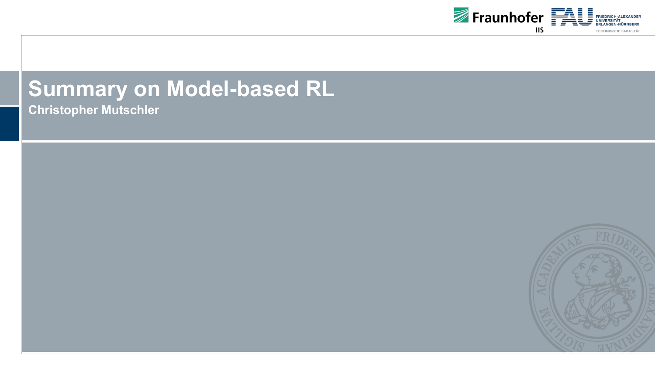

# **Summary on Model-based RL**

**Christopher Mutschler**

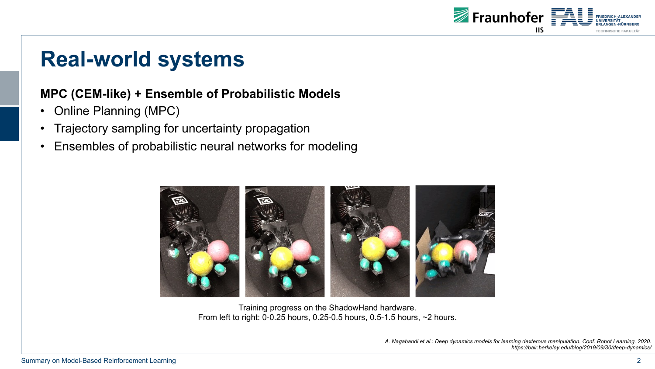

### **Real-world systems**

#### **MPC (CEM-like) + Ensemble of Probabilistic Models**

- Online Planning (MPC)
- Trajectory sampling for uncertainty propagation
- Ensembles of probabilistic neural networks for modeling



Training progress on the ShadowHand hardware. From left to right: 0-0.25 hours, 0.25-0.5 hours, 0.5-1.5 hours, ~2 hours.

> *A. Nagabandi et al.: Deep dynamics models for learning dexterous manipulation. Conf. Robot Learning. 2020. https://bair.berkeley.edu/blog/2019/09/30/deep-dynamics/*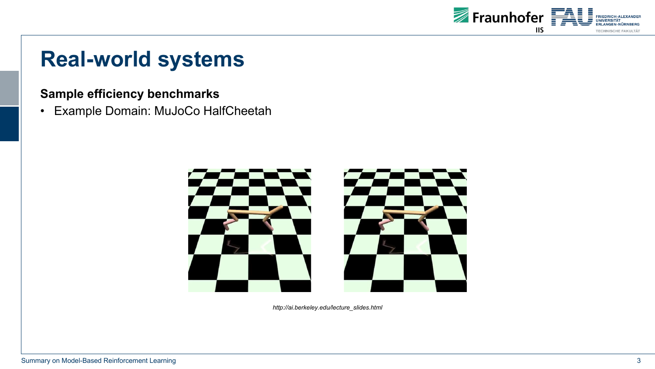

# **Real-world systems**

#### **Sample efficiency benchmarks**

• Example Domain: MuJoCo HalfCheetah



*http://ai.berkeley.edu/lecture\_slides.html*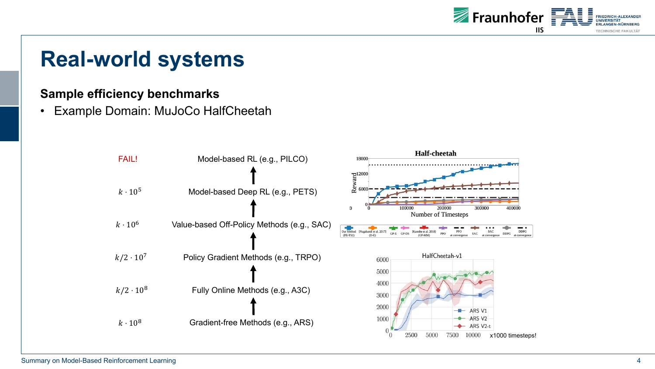

# **Real-world systems**

#### **Sample efficiency benchmarks**

• Example Domain: MuJoCo HalfCheetah

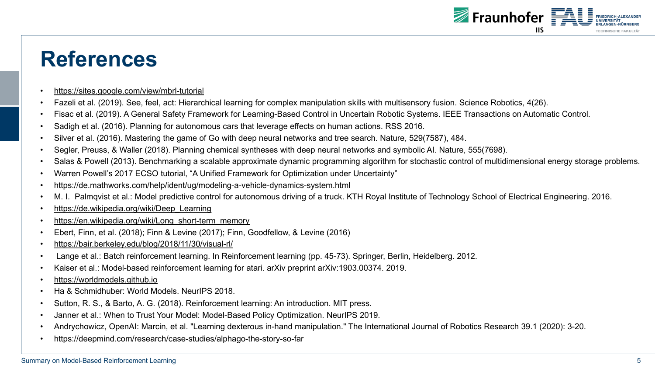# **[References](https://en.wikipedia.org/wiki/Long_short-term_memory)**

- https://sites.google.com/view/mbrl-tutorial
- Fazeli [et al. \(2019\). See, feel](https://worldmodels.github.io/), act: Hierarchical learning for complex manipulation skills with multisens
- Fisac et al. (2019). A General Safety Framework for Learning-Based Control in Uncertain Robotic Systems.
- Sadigh et al. (2016). Planning for autonomous cars that leverage effects on human actions. RSS 201
- Silver et al. (2016). Mastering the game of Go with deep neural networks and tree search. Nature, 52
- Segler, Preuss, & Waller (2018). Planning chemical syntheses with deep neural networks and symbolic AI.
- Salas & Powell (2013). Benchmarking a scalable approximate dynamic programming algorithm for sto
- Warren Powell's 2017 ECSO tutorial, "A Unified Framework for Optimization under Uncertainty"
- https://de.mathworks.com/help/ident/ug/modeling-a-vehicle-dynamics-system.html
- M. I. Palmqvist et al.: Model predictive control for autonomous driving of a truck. KTH Royal Institute
- https://de.wikipedia.org/wiki/Deep\_Learning
- https://en.wikipedia.org/wiki/Long\_short-term\_memory
- Ebert, Finn, et al. (2018); Finn & Levine (2017); Finn, Goodfellow, & Levine (2016)
- https://bair.berkeley.edu/blog/2018/11/30/visual-rl/
- Lange et al.: Batch reinforcement learning. In Reinforcement learning (pp. 45-73). Springer, Berlin, F
- Kaiser et al.: Model-based reinforcement learning for atari. arXiv preprint arXiv:1903.00374. 2019.
- https://worldmodels.github.io
- Ha & Schmidhuber: World Models. NeurIPS 2018.
- Sutton, R. S., & Barto, A. G. (2018). Reinforcement learning: An introduction. MIT press.
- Janner et al.: When to Trust Your Model: Model-Based Policy Optimization. NeurIPS 2019.
- Andrychowicz, OpenAI: Marcin, et al. "Learning dexterous in-hand manipulation." The International Journal
- https://deepmind.com/research/case-studies/alphago-the-story-so-far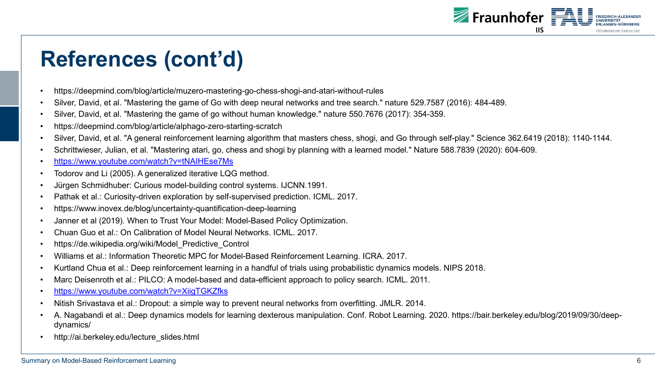# **References (cont'd)**

- https://deepmind.com/blog/article/muzero-mastering-go-chess-shogi-and-atari-without-rules
- Silver, David, et al. "Mastering the game of Go with deep neural networks and tree search." nature 52
- [Silver, David, et al. "Mastering the game of go wi](https://www.youtube.com/watch?v=XiigTGKZfks)thout human knowledge." nature 550.7676 (2017): 3
- https://deepmind.com/blog/article/alphago-zero-starting-scratch
- Silver, David, et al. "A general reinforcement learning algorithm that masters chess, shogi, and Go thi
- Schrittwieser, Julian, et al. "Mastering atari, go, chess and shogi by planning with a learned model." Not u
- https://www.youtube.com/watch?v=tNAIHEse7Ms
- Todorov and Li (2005). A generalized iterative LQG method.
- Jürgen Schmidhuber: Curious model-building control systems. IJCNN.1991.
- Pathak et al.: Curiosity-driven exploration by self-supervised prediction. ICML. 2017.
- https://www.inovex.de/blog/uncertainty-quantification-deep-learning
- Janner et al (2019). When to Trust Your Model: Model-Based Policy Optimization.
- Chuan Guo et al.: On Calibration of Model Neural Networks. ICML. 2017.
- https://de.wikipedia.org/wiki/Model\_Predictive\_Control
- Williams et al.: Information Theoretic MPC for Model-Based Reinforcement Learning. ICRA. 2017.
- Kurtland Chua et al.: Deep reinforcement learning in a handful of trials using probabilistic dynamics n
- Marc Deisenroth et al.: PILCO: A model-based and data-efficient approach to policy search. ICML. 2011.
- https://www.youtube.com/watch?v=XiigTGKZfks
- Nitish Srivastava et al.: Dropout: a simple way to prevent neural networks from overfitting. JMLR. 2014.
- A. Nagabandi et al.: Deep dynamics models for learning dexterous manipulation. Conf. Robot Learning. dynamics/
- http://ai.berkeley.edu/lecture\_slides.html